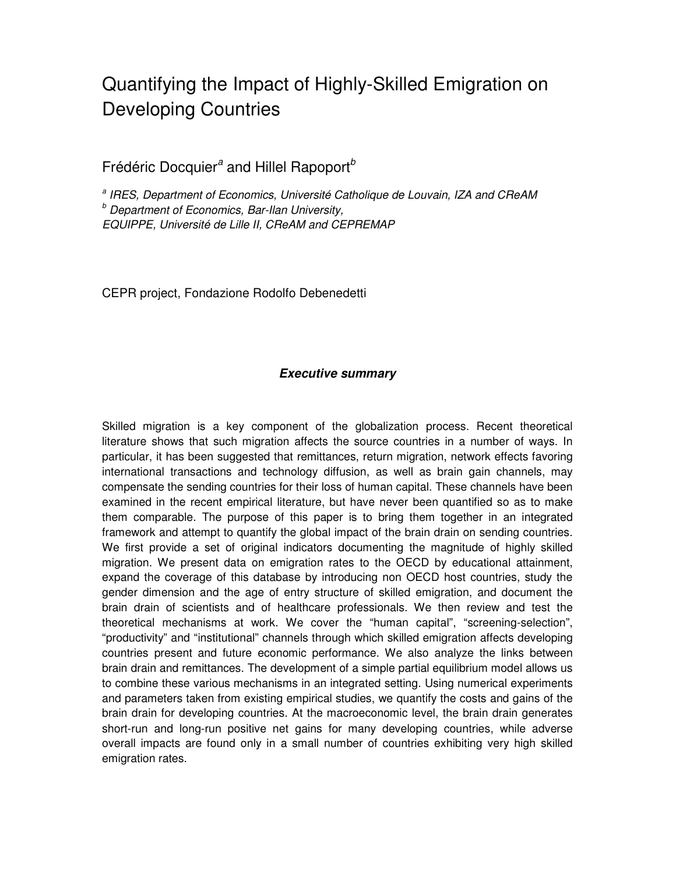## Quantifying the Impact of Highly-Skilled Emigration on Developing Countries

## Frédéric Docquier<sup>a</sup> and Hillel Rapoport<sup>b</sup>

<sup>a</sup> IRES, Department of Economics, Université Catholique de Louvain, IZA and CReAM **b** Department of Economics, Bar-Ilan University, EQUIPPE, Université de Lille II, CReAM and CEPREMAP

CEPR project, Fondazione Rodolfo Debenedetti

## **Executive summary**

Skilled migration is a key component of the globalization process. Recent theoretical literature shows that such migration affects the source countries in a number of ways. In particular, it has been suggested that remittances, return migration, network effects favoring international transactions and technology diffusion, as well as brain gain channels, may compensate the sending countries for their loss of human capital. These channels have been examined in the recent empirical literature, but have never been quantified so as to make them comparable. The purpose of this paper is to bring them together in an integrated framework and attempt to quantify the global impact of the brain drain on sending countries. We first provide a set of original indicators documenting the magnitude of highly skilled migration. We present data on emigration rates to the OECD by educational attainment, expand the coverage of this database by introducing non OECD host countries, study the gender dimension and the age of entry structure of skilled emigration, and document the brain drain of scientists and of healthcare professionals. We then review and test the theoretical mechanisms at work. We cover the "human capital", "screening-selection", "productivity" and "institutional" channels through which skilled emigration affects developing countries present and future economic performance. We also analyze the links between brain drain and remittances. The development of a simple partial equilibrium model allows us to combine these various mechanisms in an integrated setting. Using numerical experiments and parameters taken from existing empirical studies, we quantify the costs and gains of the brain drain for developing countries. At the macroeconomic level, the brain drain generates short-run and long-run positive net gains for many developing countries, while adverse overall impacts are found only in a small number of countries exhibiting very high skilled emigration rates.